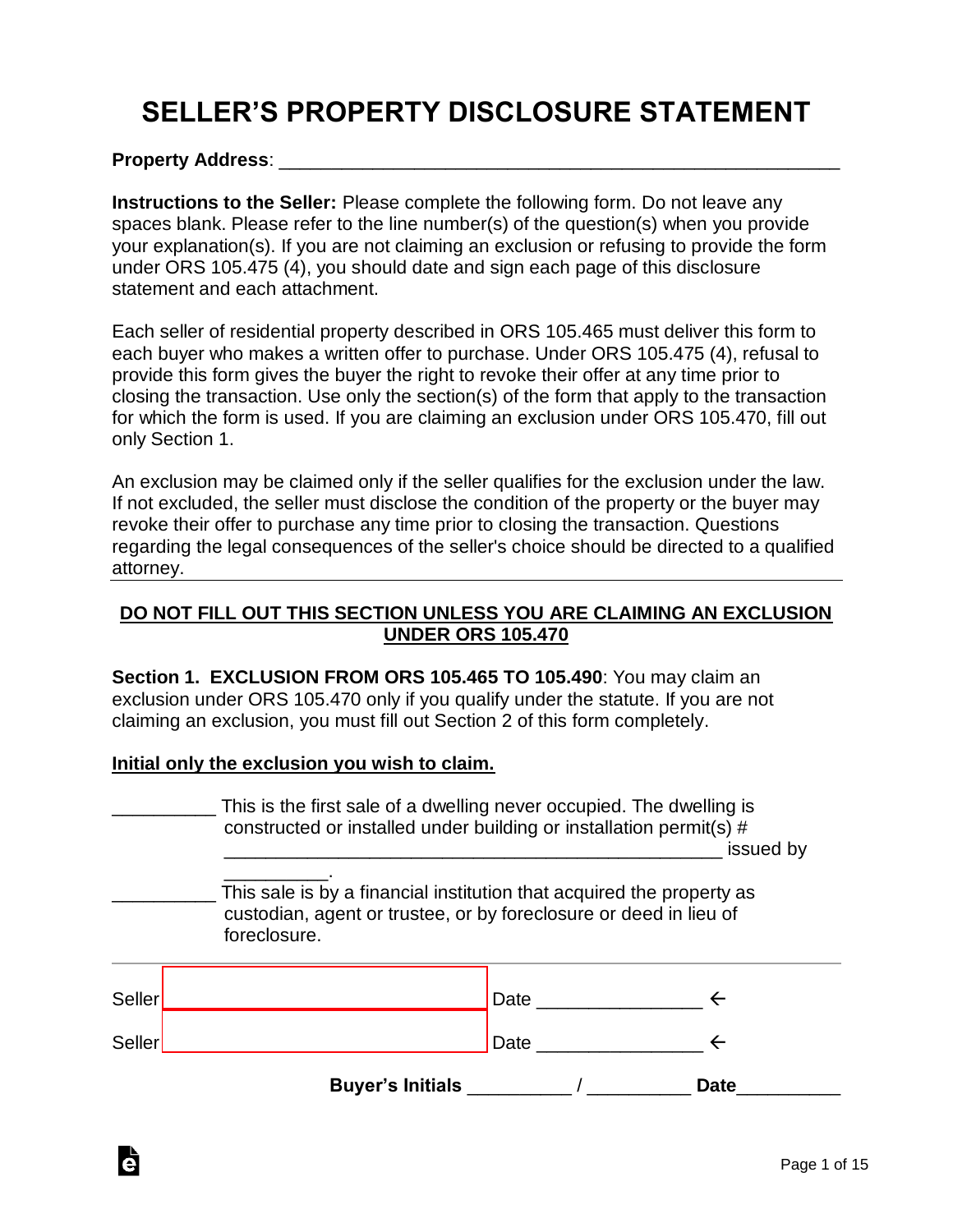# **SELLER'S PROPERTY DISCLOSURE STATEMENT**

#### **Property Address**: \_\_\_\_\_\_\_\_\_\_\_\_\_\_\_\_\_\_\_\_\_\_\_\_\_\_\_\_\_\_\_\_\_\_\_\_\_\_\_\_\_\_\_\_\_\_\_\_\_\_\_\_\_\_

**Instructions to the Seller:** Please complete the following form. Do not leave any spaces blank. Please refer to the line number(s) of the question(s) when you provide your explanation(s). If you are not claiming an exclusion or refusing to provide the form under ORS 105.475 (4), you should date and sign each page of this disclosure statement and each attachment.

Each seller of residential property described in ORS 105.465 must deliver this form to each buyer who makes a written offer to purchase. Under ORS 105.475 (4), refusal to provide this form gives the buyer the right to revoke their offer at any time prior to closing the transaction. Use only the section(s) of the form that apply to the transaction for which the form is used. If you are claiming an exclusion under ORS 105.470, fill out only Section 1.

An exclusion may be claimed only if the seller qualifies for the exclusion under the law. If not excluded, the seller must disclose the condition of the property or the buyer may revoke their offer to purchase any time prior to closing the transaction. Questions regarding the legal consequences of the seller's choice should be directed to a qualified attorney.

#### **DO NOT FILL OUT THIS SECTION UNLESS YOU ARE CLAIMING AN EXCLUSION UNDER ORS 105.470**

**Section 1. EXCLUSION FROM ORS 105.465 TO 105.490**: You may claim an exclusion under ORS 105.470 only if you qualify under the statute. If you are not claiming an exclusion, you must fill out Section 2 of this form completely.

#### **Initial only the exclusion you wish to claim.**

Ġ

|        | This is the first sale of a dwelling never occupied. The dwelling is<br>constructed or installed under building or installation permit(s) #                |                   |
|--------|------------------------------------------------------------------------------------------------------------------------------------------------------------|-------------------|
|        |                                                                                                                                                            | issued by         |
|        | This sale is by a financial institution that acquired the property as<br>custodian, agent or trustee, or by foreclosure or deed in lieu of<br>foreclosure. |                   |
|        |                                                                                                                                                            | Date $\leftarrow$ |
| Seller |                                                                                                                                                            | Date $\leftarrow$ |
|        |                                                                                                                                                            | <b>Date</b>       |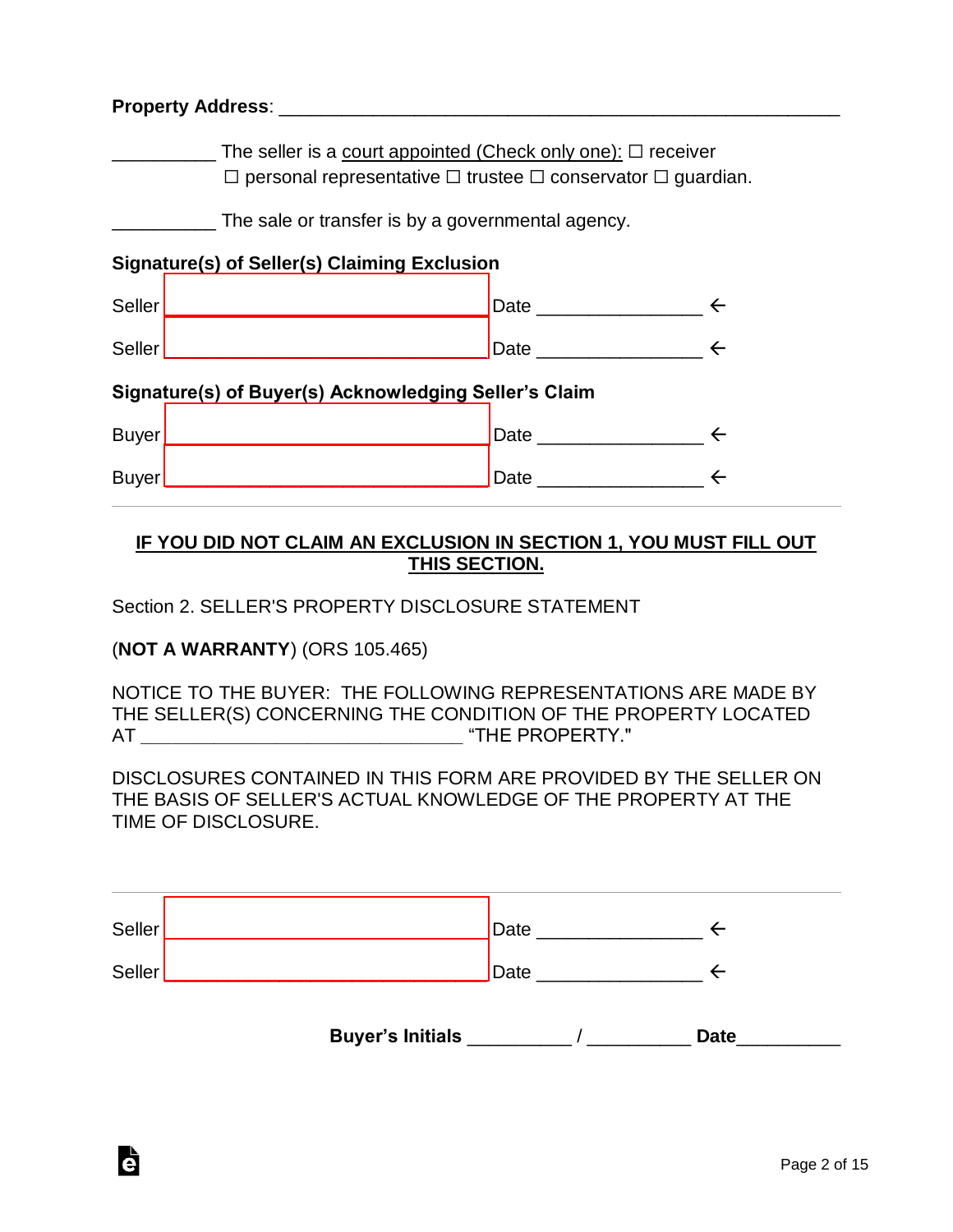| The seller is a court appointed (Check only one): $\Box$ receiver<br>$\Box$ personal representative $\Box$ trustee $\Box$ conservator $\Box$ guardian. |                                                   |  |  |  |
|--------------------------------------------------------------------------------------------------------------------------------------------------------|---------------------------------------------------|--|--|--|
|                                                                                                                                                        | The sale or transfer is by a governmental agency. |  |  |  |
| Signature(s) of Seller(s) Claiming Exclusion                                                                                                           |                                                   |  |  |  |
|                                                                                                                                                        |                                                   |  |  |  |
|                                                                                                                                                        |                                                   |  |  |  |
| Signature(s) of Buyer(s) Acknowledging Seller's Claim                                                                                                  |                                                   |  |  |  |
|                                                                                                                                                        | Date $\leftarrow$                                 |  |  |  |
|                                                                                                                                                        |                                                   |  |  |  |

#### **IF YOU DID NOT CLAIM AN EXCLUSION IN SECTION 1, YOU MUST FILL OUT THIS SECTION.**

Section 2. SELLER'S PROPERTY DISCLOSURE STATEMENT

(**NOT A WARRANTY**) (ORS 105.465)

Ġ

NOTICE TO THE BUYER: THE FOLLOWING REPRESENTATIONS ARE MADE BY THE SELLER(S) CONCERNING THE CONDITION OF THE PROPERTY LOCATED AT **\_\_\_\_\_\_\_\_\_\_\_\_\_\_\_\_\_\_\_\_\_\_\_\_\_\_\_\_\_\_\_** "THE PROPERTY."

DISCLOSURES CONTAINED IN THIS FORM ARE PROVIDED BY THE SELLER ON THE BASIS OF SELLER'S ACTUAL KNOWLEDGE OF THE PROPERTY AT THE TIME OF DISCLOSURE.

| Seller | Date |  |
|--------|------|--|
| Seller | Date |  |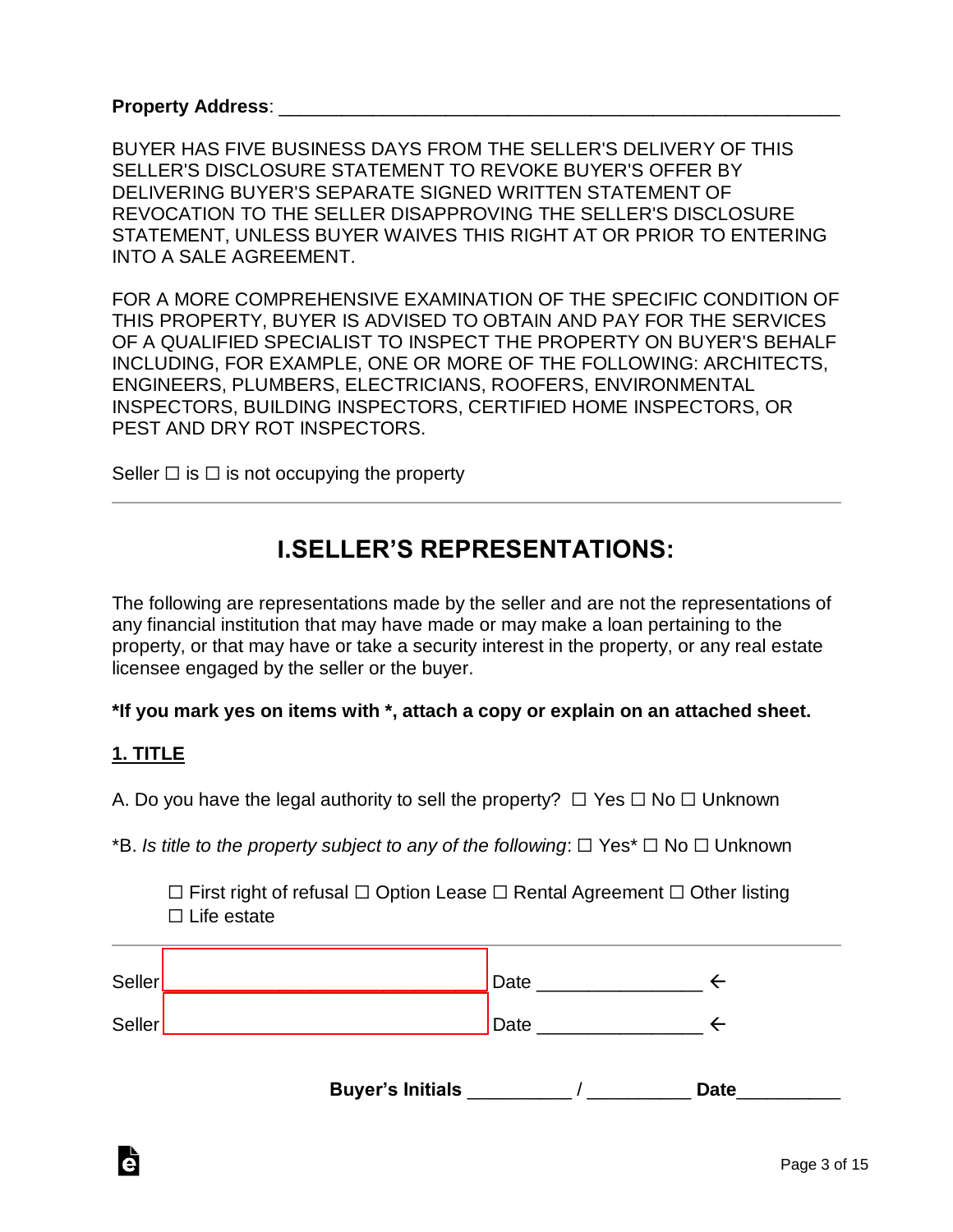BUYER HAS FIVE BUSINESS DAYS FROM THE SELLER'S DELIVERY OF THIS SELLER'S DISCLOSURE STATEMENT TO REVOKE BUYER'S OFFER BY DELIVERING BUYER'S SEPARATE SIGNED WRITTEN STATEMENT OF REVOCATION TO THE SELLER DISAPPROVING THE SELLER'S DISCLOSURE STATEMENT, UNLESS BUYER WAIVES THIS RIGHT AT OR PRIOR TO ENTERING INTO A SALE AGREEMENT.

FOR A MORE COMPREHENSIVE EXAMINATION OF THE SPECIFIC CONDITION OF THIS PROPERTY, BUYER IS ADVISED TO OBTAIN AND PAY FOR THE SERVICES OF A QUALIFIED SPECIALIST TO INSPECT THE PROPERTY ON BUYER'S BEHALF INCLUDING, FOR EXAMPLE, ONE OR MORE OF THE FOLLOWING: ARCHITECTS, ENGINEERS, PLUMBERS, ELECTRICIANS, ROOFERS, ENVIRONMENTAL INSPECTORS, BUILDING INSPECTORS, CERTIFIED HOME INSPECTORS, OR PEST AND DRY ROT INSPECTORS.

Seller  $\Box$  is  $\Box$  is not occupying the property

### **I.SELLER'S REPRESENTATIONS:**

The following are representations made by the seller and are not the representations of any financial institution that may have made or may make a loan pertaining to the property, or that may have or take a security interest in the property, or any real estate licensee engaged by the seller or the buyer.

**\*If you mark yes on items with \*, attach a copy or explain on an attached sheet.**

#### **1. TITLE**

Ġ

A. Do you have the legal authority to sell the property?  $\Box$  Yes  $\Box$  No  $\Box$  Unknown

\*B. *Is title to the property subject to any of the following*: ☐ Yes\* ☐ No ☐ Unknown

☐ First right of refusal ☐ Option Lease ☐ Rental Agreement ☐ Other listing ☐ Life estate

| Seller |                         | Date |             |
|--------|-------------------------|------|-------------|
| Seller |                         | Date |             |
|        | <b>Buyer's Initials</b> |      | <b>Date</b> |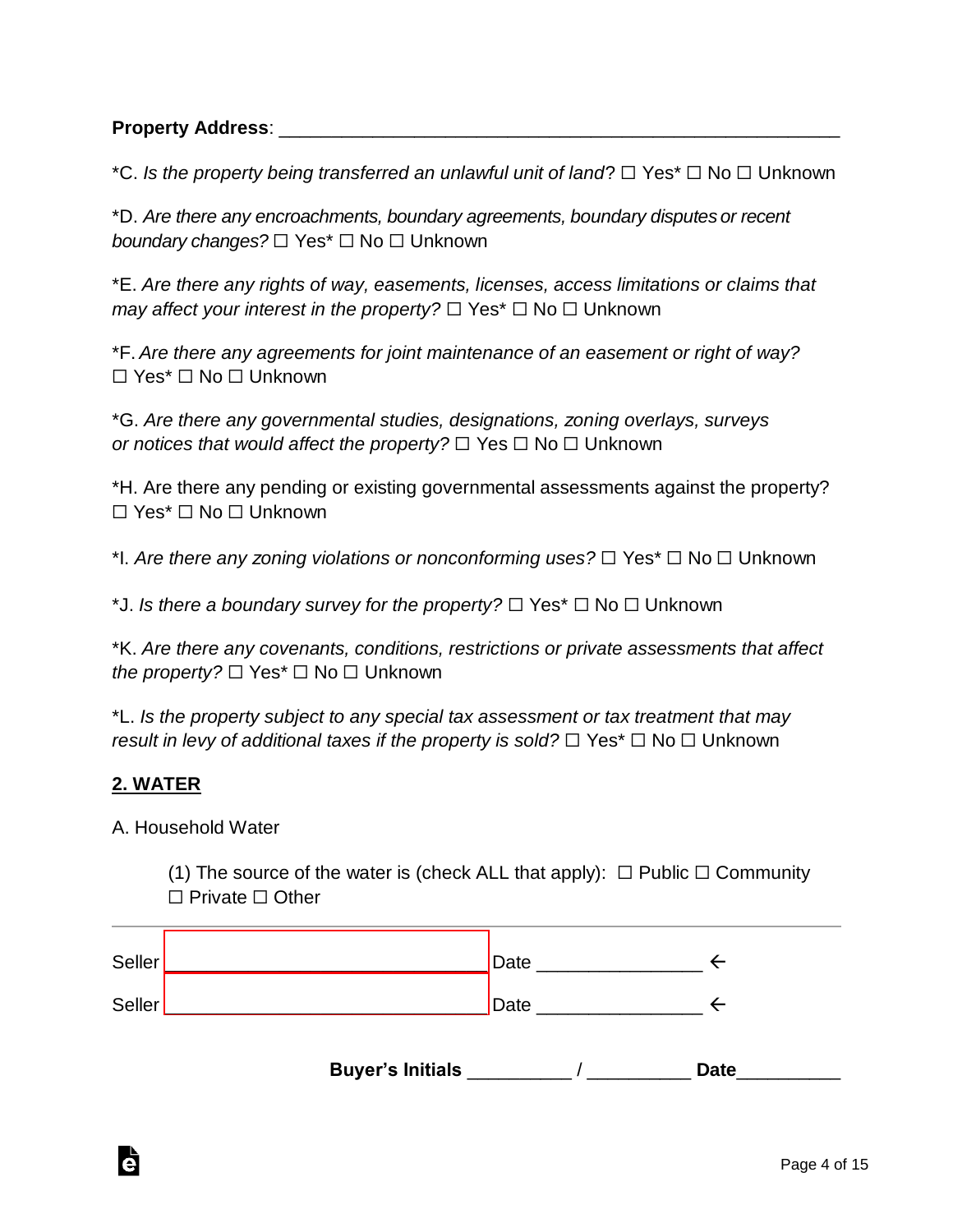\*C. *Is the property being transferred an unlawful unit of land*? ☐ Yes\* ☐ No ☐ Unknown

\*D. *Are there any encroachments, boundary agreements, boundary disputes or recent boundary changes?* ☐ Yes\* ☐ No ☐ Unknown

\*E. *Are there any rights of way, easements, licenses, access limitations or claims that may affect your interest in the property?* □ Yes<sup>\*</sup> □ No □ Unknown

\*F. *Are there any agreements for joint maintenance of an easement or right of way?* ☐ Yes\* ☐ No ☐ Unknown

\*G. *Are there any governmental studies, designations, zoning overlays, surveys or notices that would affect the property?* □ Yes □ No □ Unknown

\*H. Are there any pending or existing governmental assessments against the property? ☐ Yes\* ☐ No ☐ Unknown

\*I. *Are there any zoning violations or nonconforming uses?* ☐ Yes\* ☐ No ☐ Unknown

\*J. *Is there a boundary survey for the property?* ☐ Yes\* ☐ No ☐ Unknown

\*K. *Are there any covenants, conditions, restrictions or private assessments that affect the property?*  $\Box$  Yes<sup>\*</sup>  $\Box$  No  $\Box$  Unknown

\*L. *Is the property subject to any special tax assessment or tax treatment that may result in levy of additional taxes if the property is sold?*  $\Box$  Yes<sup>\*</sup>  $\Box$  No  $\Box$  Unknown

#### **2. WATER**

à

A. Household Water

(1) The source of the water is (check ALL that apply):  $\Box$  Public  $\Box$  Community ☐ Private ☐ Other

| Seller |                         | Date |             |
|--------|-------------------------|------|-------------|
| Seller |                         | Date |             |
|        | <b>Buyer's Initials</b> |      | <b>Date</b> |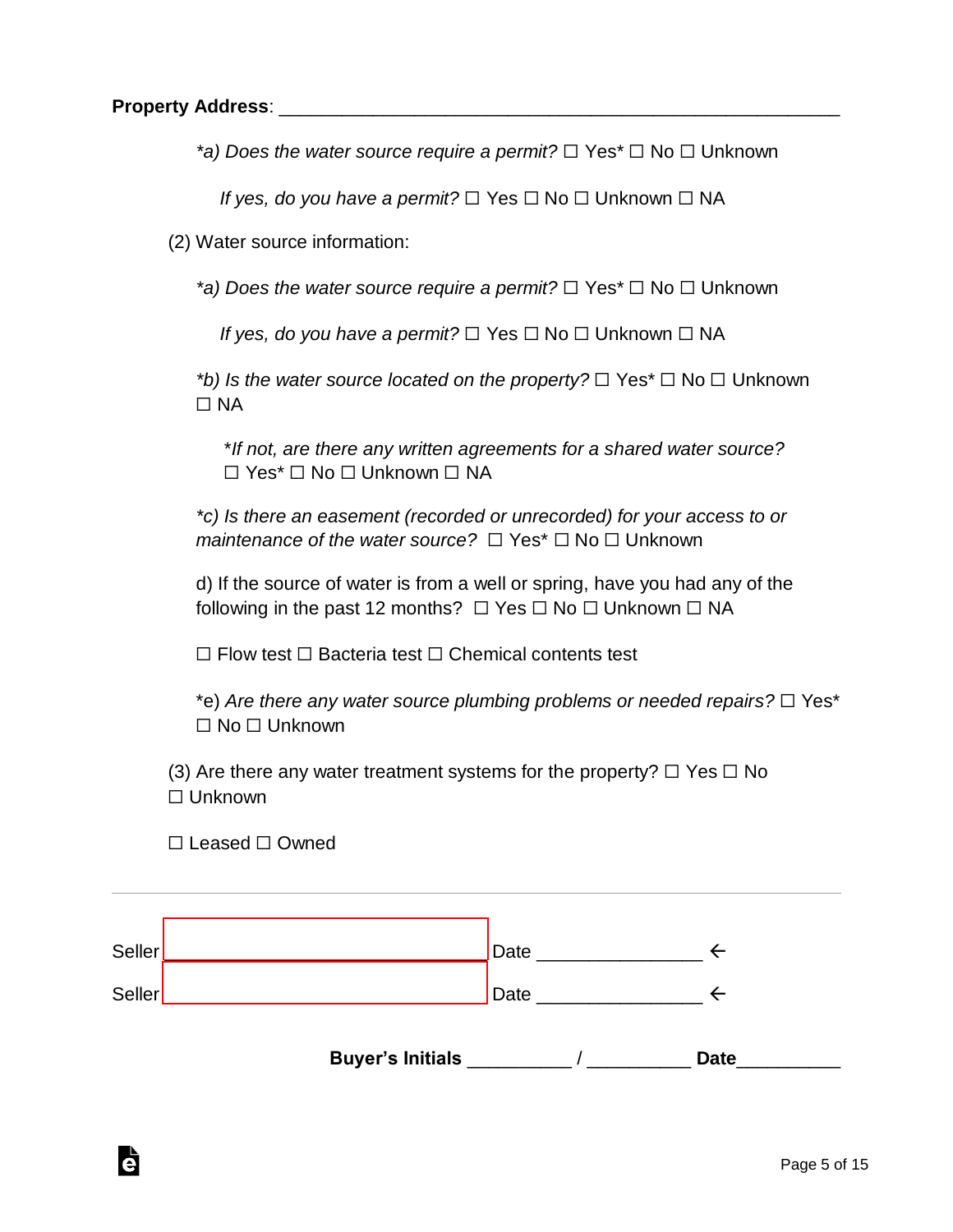*\*a) Does the water source require a permit?* ☐ Yes\* ☐ No ☐ Unknown

*If yes, do you have a permit?* □ Yes □ No □ Unknown □ NA

(2) Water source information:

*\*a) Does the water source require a permit?* ☐ Yes\* ☐ No ☐ Unknown

*If yes, do you have a permit?* □ Yes □ No □ Unknown □ NA

*\*b) Is the water source located on the property?* ☐ Yes\* ☐ No ☐ Unknown ☐ NA

\**If not, are there any written agreements for a shared water source?*  ☐ Yes\* ☐ No ☐ Unknown ☐ NA

*\*c) Is there an easement (recorded or unrecorded) for your access to or maintenance of the water source?* □ Yes<sup>\*</sup> □ No □ Unknown

d) If the source of water is from a well or spring, have you had any of the following in the past 12 months?  $\Box$  Yes  $\Box$  No  $\Box$  Unknown  $\Box$  NA

☐ Flow test ☐ Bacteria test ☐ Chemical contents test

\*e) *Are there any water source plumbing problems or needed repairs?* ☐ Yes\* ☐ No ☐ Unknown

(3) Are there any water treatment systems for the property?  $\Box$  Yes  $\Box$  No ☐ Unknown

☐ Leased ☐ Owned

à

| Seller        | Date |  |
|---------------|------|--|
| <b>Seller</b> | Date |  |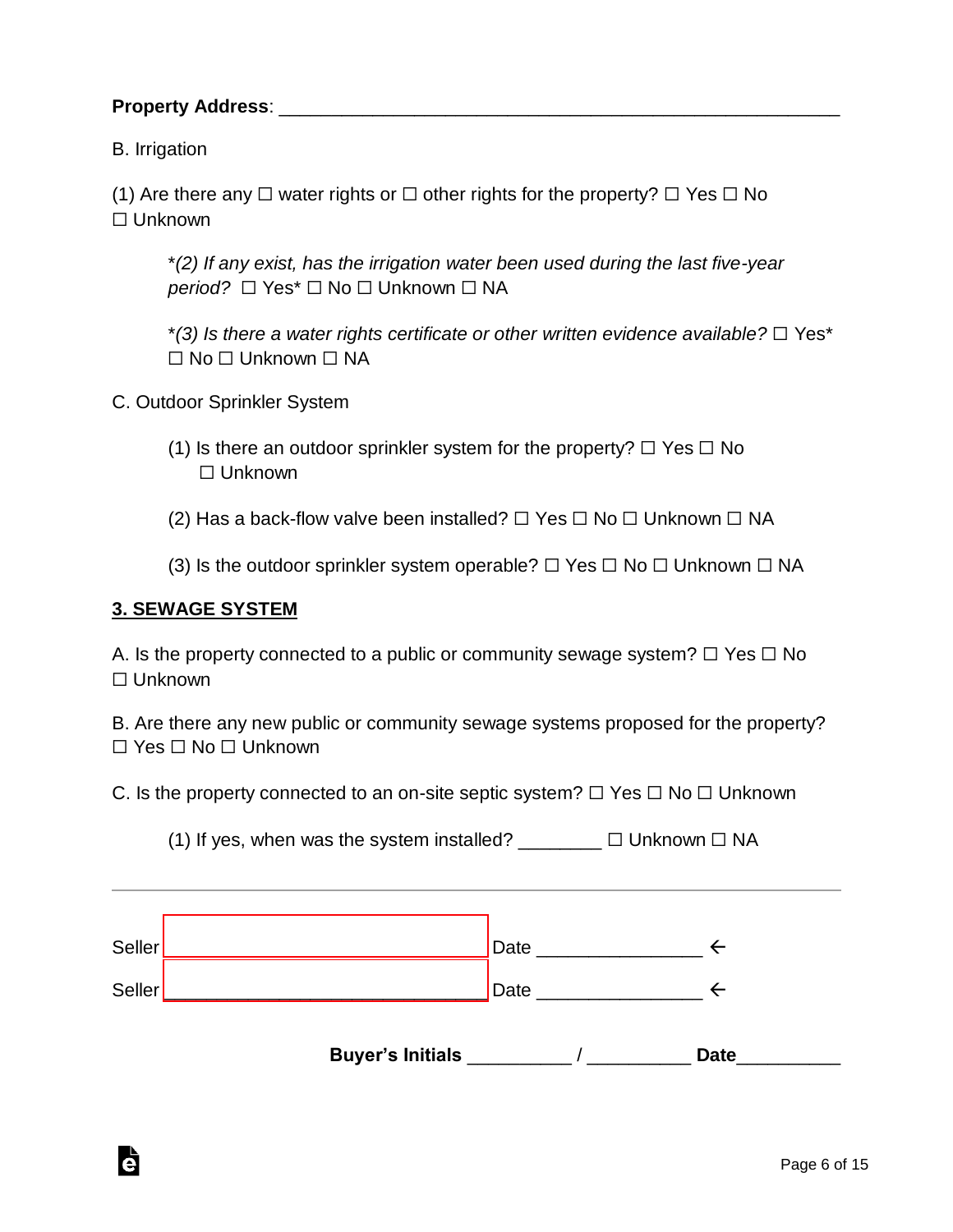B. Irrigation

(1) Are there any  $\Box$  water rights or  $\Box$  other rights for the property?  $\Box$  Yes  $\Box$  No ☐ Unknown

\**(2) If any exist, has the irrigation water been used during the last five-year period?*  $□$  Yes<sup>\*</sup>  $□$  No  $□$  Unknown  $□$  NA

\**(3) Is there a water rights certificate or other written evidence available?* ☐ Yes\* ☐ No ☐ Unknown ☐ NA

C. Outdoor Sprinkler System

(1) Is there an outdoor sprinkler system for the property?  $\Box$  Yes  $\Box$  No ☐ Unknown

(2) Has a back-flow valve been installed?  $\Box$  Yes  $\Box$  No  $\Box$  Unknown  $\Box$  NA

(3) Is the outdoor sprinkler system operable?  $\Box$  Yes  $\Box$  No  $\Box$  Unknown  $\Box$  NA

#### **3. SEWAGE SYSTEM**

Ġ

A. Is the property connected to a public or community sewage system?  $\Box$  Yes  $\Box$  No ☐ Unknown

B. Are there any new public or community sewage systems proposed for the property? ☐ Yes ☐ No ☐ Unknown

C. Is the property connected to an on-site septic system?  $\Box$  Yes  $\Box$  No  $\Box$  Unknown

(1) If yes, when was the system installed?  $□$  Unknown  $□$  NA

| <b>Seller</b> | Date |  |
|---------------|------|--|
| <b>Seller</b> | Date |  |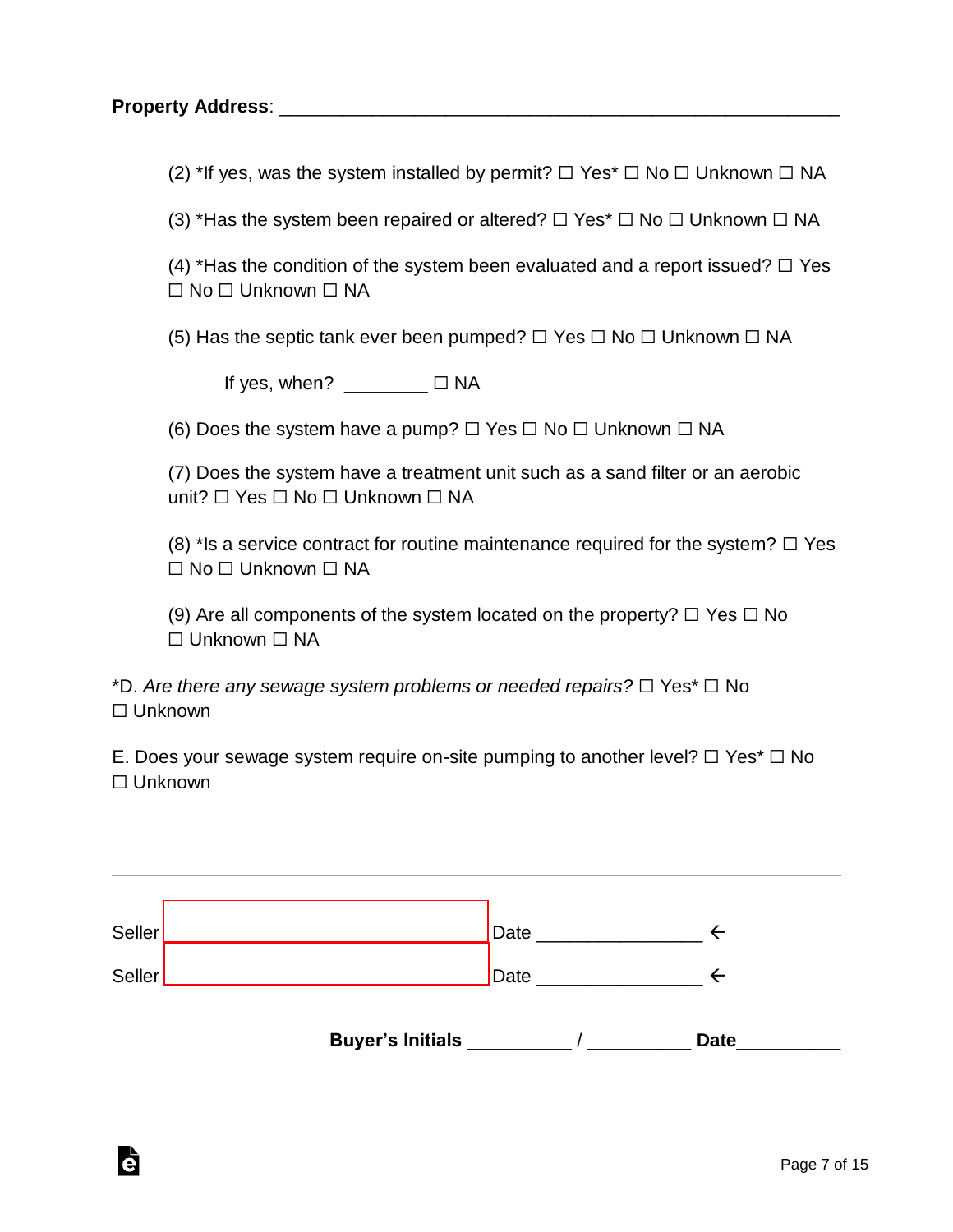Ġ

(2) \*If yes, was the system installed by permit?  $\Box$  Yes  $\Box$  No  $\Box$  Unknown  $\Box$  NA

(3) \*Has the system been repaired or altered?  $\Box$  Yes\*  $\Box$  No  $\Box$  Unknown  $\Box$  NA

(4) \*Has the condition of the system been evaluated and a report issued?  $\Box$  Yes ☐ No ☐ Unknown ☐ NA

(5) Has the septic tank ever been pumped?  $\Box$  Yes  $\Box$  No  $\Box$  Unknown  $\Box$  NA

If yes, when?  $\_\_\_\_\_\_\_\_\_\_\\Box$   $\Box$  NA

(6) Does the system have a pump?  $\Box$  Yes  $\Box$  No  $\Box$  Unknown  $\Box$  NA

(7) Does the system have a treatment unit such as a sand filter or an aerobic unit? □ Yes □ No □ Unknown □ NA

(8) \*Is a service contract for routine maintenance required for the system?  $\Box$  Yes ☐ No ☐ Unknown ☐ NA

(9) Are all components of the system located on the property?  $\Box$  Yes  $\Box$  No ☐ Unknown ☐ NA

\*D. *Are there any sewage system problems or needed repairs?* ☐ Yes\* ☐ No ☐ Unknown

E. Does your sewage system require on-site pumping to another level?  $\Box$  Yes\*  $\Box$  No ☐ Unknown

| Seller | Date |  |
|--------|------|--|
| Seller | Date |  |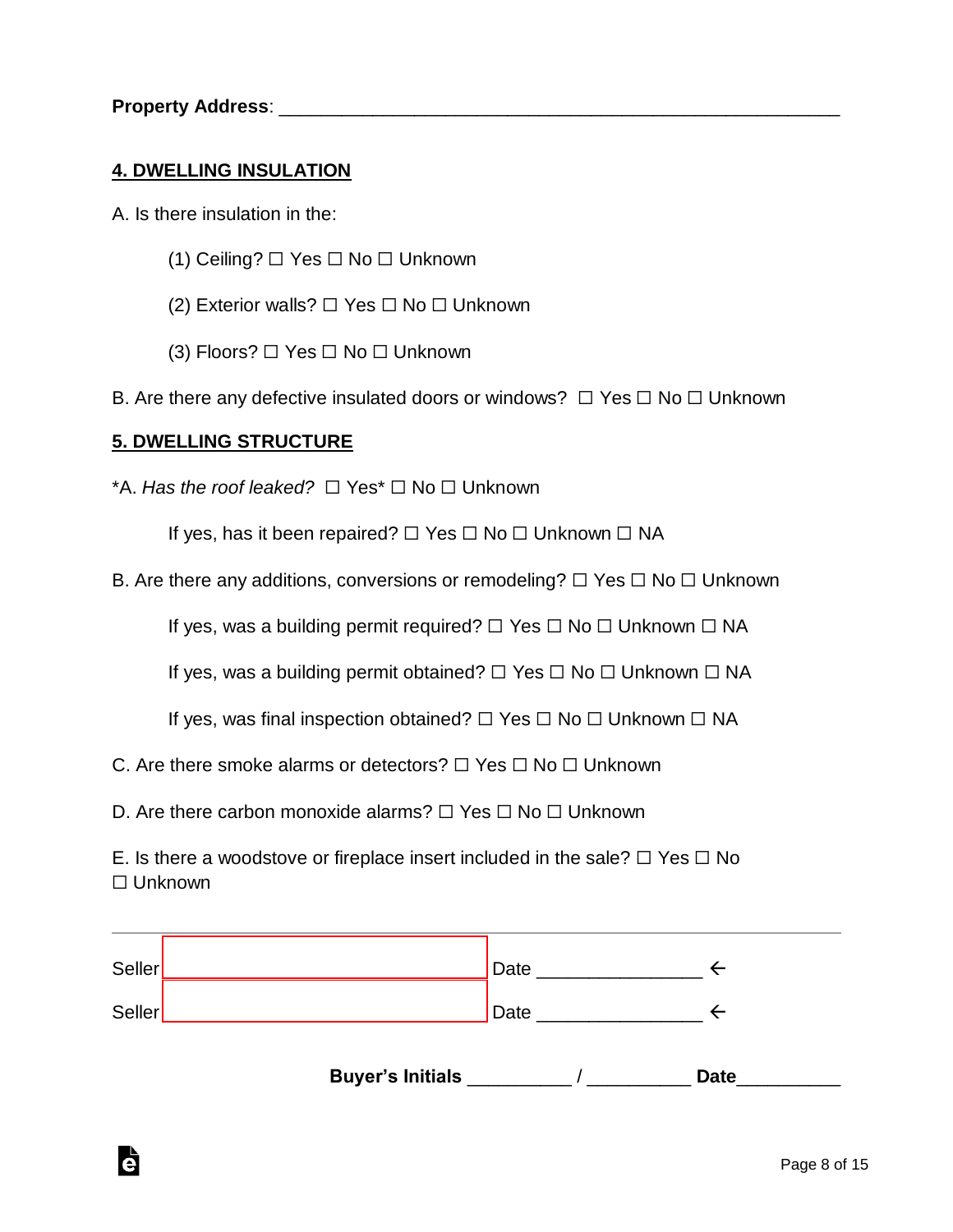#### **4. DWELLING INSULATION**

- A. Is there insulation in the:
	- (1) Ceiling? ☐ Yes ☐ No ☐ Unknown
	- (2) Exterior walls? ☐ Yes ☐ No ☐ Unknown
	- (3) Floors? ☐ Yes ☐ No ☐ Unknown
- B. Are there any defective insulated doors or windows?  $\Box$  Yes  $\Box$  No  $\Box$  Unknown

#### **5. DWELLING STRUCTURE**

Ġ

\*A. *Has the roof leaked?* ☐ Yes\* ☐ No ☐ Unknown

If yes, has it been repaired?  $□$  Yes  $□$  No  $□$  Unknown  $□$  NA

B. Are there any additions, conversions or remodeling? □ Yes □ No □ Unknown

If yes, was a building permit required?  $□$  Yes  $□$  No  $□$  Unknown  $□$  NA

If yes, was a building permit obtained? ☐ Yes ☐ No ☐ Unknown ☐ NA

If yes, was final inspection obtained? ☐ Yes ☐ No ☐ Unknown ☐ NA

C. Are there smoke alarms or detectors?  $\Box$  Yes  $\Box$  No  $\Box$  Unknown

D. Are there carbon monoxide alarms? □ Yes □ No □ Unknown

E. Is there a woodstove or fireplace insert included in the sale?  $\Box$  Yes  $\Box$  No ☐ Unknown

| Seller |                         | Date |             |
|--------|-------------------------|------|-------------|
| Seller |                         | Date |             |
|        | <b>Buyer's Initials</b> |      | <b>Date</b> |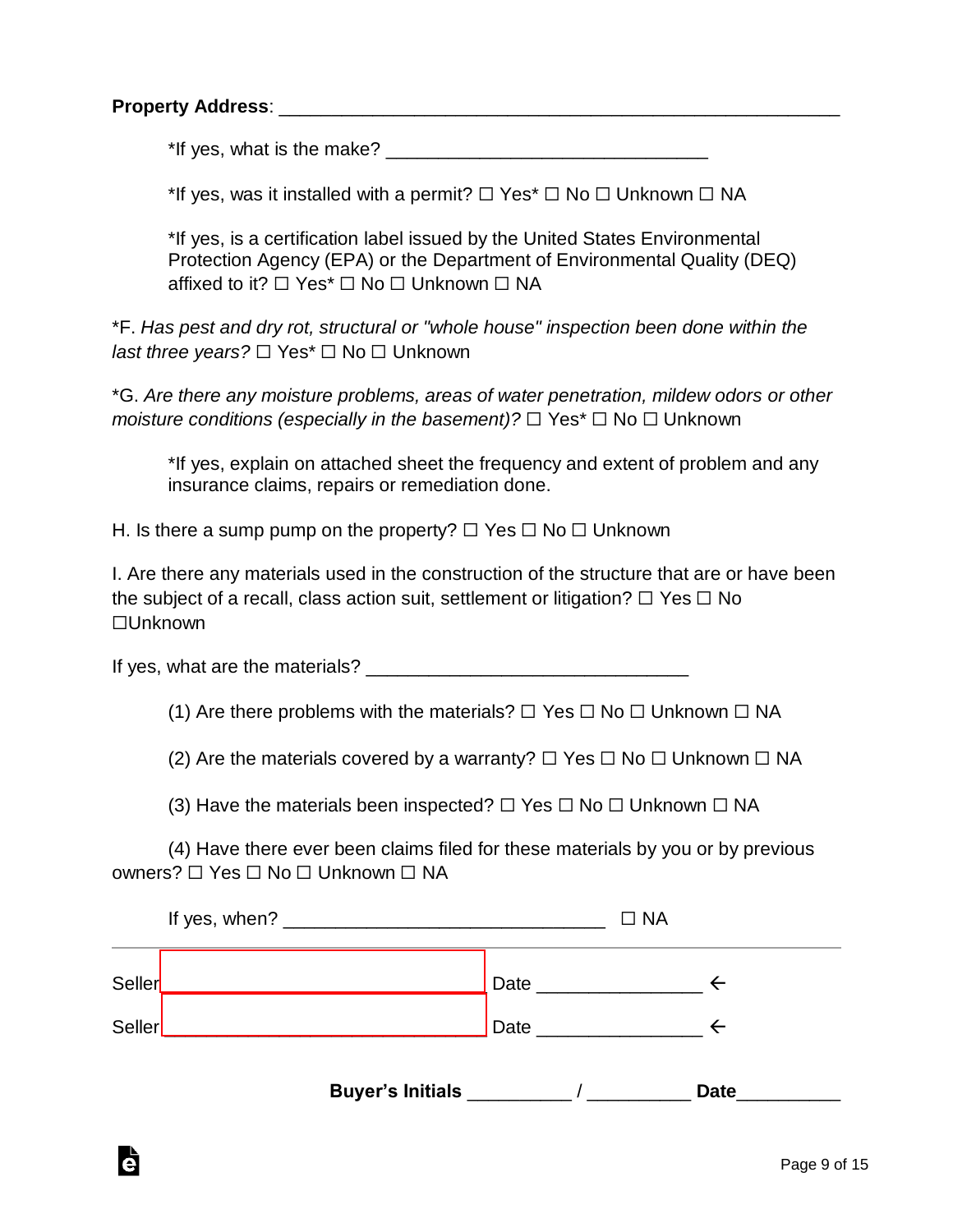Ġ

\*If yes, what is the make? \_\_\_\_\_\_\_\_\_\_\_\_\_\_\_\_\_\_\_\_\_\_\_\_\_\_\_\_\_\_\_

\*If yes, was it installed with a permit?  $\Box$  Yes\*  $\Box$  No  $\Box$  Unknown  $\Box$  NA

\*If yes, is a certification label issued by the United States Environmental Protection Agency (EPA) or the Department of Environmental Quality (DEQ) affixed to it? □ Yes<sup>\*</sup> □ No □ Unknown □ NA

\*F. *Has pest and dry rot, structural or "whole house" inspection been done within the last three years?* □ Yes<sup>\*</sup> □ No □ Unknown

\*G. *Are there any moisture problems, areas of water penetration, mildew odors or other moisture conditions (especially in the basement)?* □ Yes<sup>\*</sup> □ No □ Unknown

\*If yes, explain on attached sheet the frequency and extent of problem and any insurance claims, repairs or remediation done.

H. Is there a sump pump on the property?  $\Box$  Yes  $\Box$  No  $\Box$  Unknown

I. Are there any materials used in the construction of the structure that are or have been the subject of a recall, class action suit, settlement or litigation?  $\Box$  Yes  $\Box$  No ☐Unknown

If yes, what are the materials? \_\_\_\_\_\_\_\_\_\_\_\_\_\_\_\_\_\_\_\_\_\_\_\_\_\_\_\_\_\_\_

(1) Are there problems with the materials?  $\Box$  Yes  $\Box$  No  $\Box$  Unknown  $\Box$  NA

(2) Are the materials covered by a warranty?  $\Box$  Yes  $\Box$  No  $\Box$  Unknown  $\Box$  NA

(3) Have the materials been inspected?  $\Box$  Yes  $\Box$  No  $\Box$  Unknown  $\Box$  NA

(4) Have there ever been claims filed for these materials by you or by previous owners? ☐ Yes ☐ No ☐ Unknown ☐ NA

|  | $\Box$ NA |      |
|--|-----------|------|
|  |           |      |
|  |           |      |
|  |           | Date |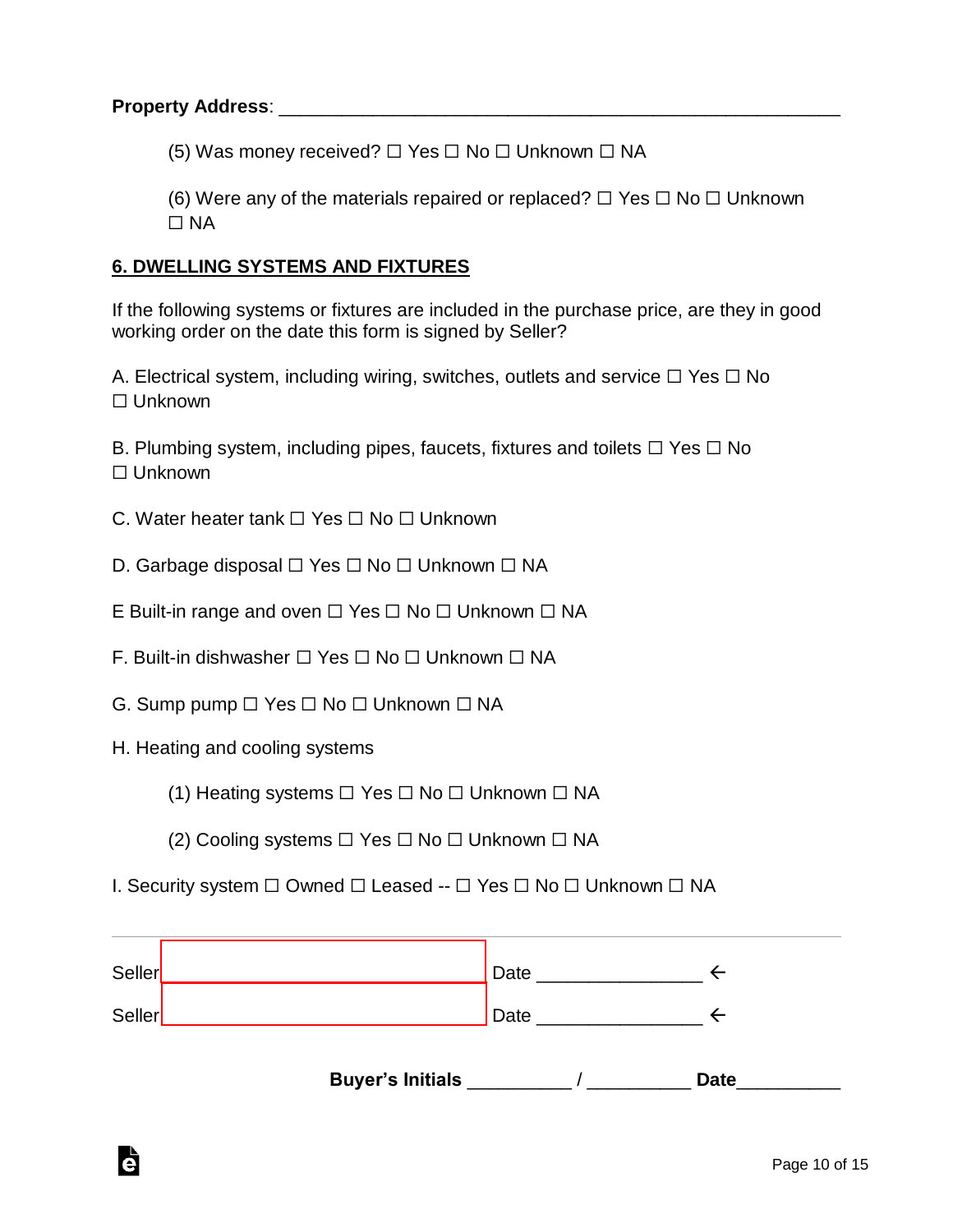(5) Was money received?  $\Box$  Yes  $\Box$  No  $\Box$  Unknown  $\Box$  NA

(6) Were any of the materials repaired or replaced?  $\Box$  Yes  $\Box$  No  $\Box$  Unknown ☐ NA

#### **6. DWELLING SYSTEMS AND FIXTURES**

If the following systems or fixtures are included in the purchase price, are they in good working order on the date this form is signed by Seller?

A. Electrical system, including wiring, switches, outlets and service  $\Box$  Yes  $\Box$  No ☐ Unknown

B. Plumbing system, including pipes, faucets, fixtures and toilets  $\Box$  Yes  $\Box$  No ☐ Unknown

- C. Water heater tank ☐ Yes ☐ No ☐ Unknown
- D. Garbage disposal  $□$  Yes  $□$  No  $□$  Unknown  $□$  NA
- E Built-in range and oven □ Yes □ No □ Unknown □ NA
- F. Built-in dishwasher ☐ Yes ☐ No ☐ Unknown ☐ NA
- G. Sump pump  $□$  Yes  $□$  No  $□$  Unknown  $□$  NA
- H. Heating and cooling systems

Ġ

- (1) Heating systems  $\Box$  Yes  $\Box$  No  $\Box$  Unknown  $\Box$  NA
- (2) Cooling systems  $□$  Yes  $□$  No  $□$  Unknown  $□$  NA
- I. Security system ☐ Owned ☐ Leased -- ☐ Yes ☐ No ☐ Unknown ☐ NA

| Seller | Date |  |
|--------|------|--|
| Seller | Date |  |
|        |      |  |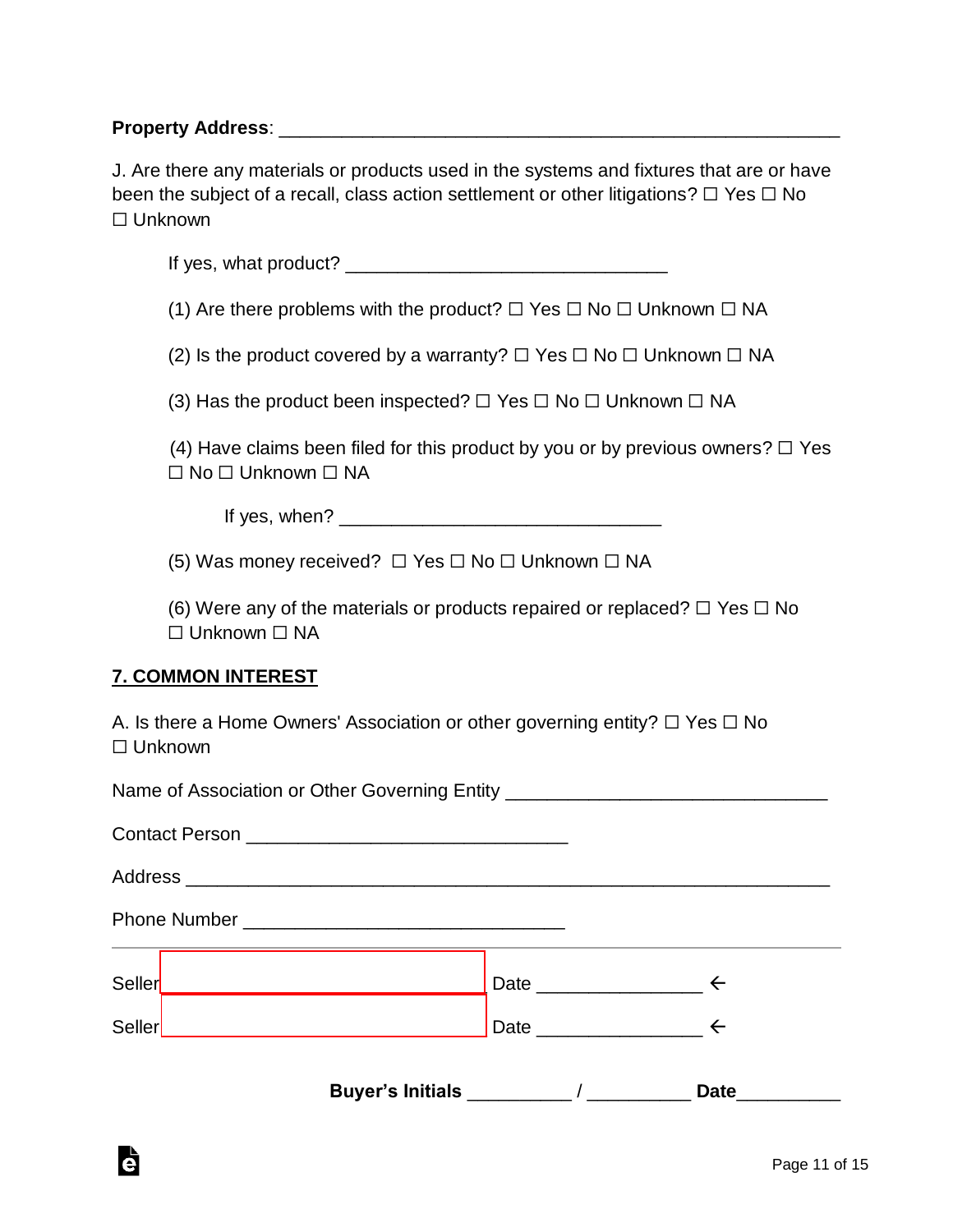#### **Property Address:** <u>and the set of the set of the set of the set of the set of the set of the set of the set of the set of the set of the set of the set of the set of the set of the set of the set of the set of the set of</u>

J. Are there any materials or products used in the systems and fixtures that are or have been the subject of a recall, class action settlement or other litigations?  $\Box$  Yes  $\Box$  No ☐ Unknown

If yes, what product? \_\_\_\_\_\_\_\_\_\_\_\_\_\_\_\_\_\_\_\_\_\_\_\_\_\_\_\_\_\_\_

(1) Are there problems with the product?  $\Box$  Yes  $\Box$  No  $\Box$  Unknown  $\Box$  NA

(2) Is the product covered by a warranty?  $\Box$  Yes  $\Box$  No  $\Box$  Unknown  $\Box$  NA

(3) Has the product been inspected?  $\Box$  Yes  $\Box$  No  $\Box$  Unknown  $\Box$  NA

(4) Have claims been filed for this product by you or by previous owners?  $\Box$  Yes ☐ No ☐ Unknown ☐ NA

If yes, when?  $\blacksquare$ 

(5) Was money received?  $\Box$  Yes  $\Box$  No  $\Box$  Unknown  $\Box$  NA

(6) Were any of the materials or products repaired or replaced?  $\Box$  Yes  $\Box$  No ☐ Unknown ☐ NA

#### **7. COMMON INTEREST**

à

A. Is there a Home Owners' Association or other governing entity?  $\Box$  Yes  $\Box$  No ☐ Unknown

Name of Association or Other Governing Entity Contact Person **Exercise 20** Address \_\_\_\_\_\_\_\_\_\_\_\_\_\_\_\_\_\_\_\_\_\_\_\_\_\_\_\_\_\_\_\_\_\_\_\_\_\_\_\_\_\_\_\_\_\_\_\_\_\_\_\_\_\_\_\_\_\_\_\_\_\_ Phone Number **Example 20** Seller  $\leftarrow$  Date  $\leftarrow$ Seller  $\leftarrow$  Date  $\leftarrow$ **Buyer's Initials** \_\_\_\_\_\_\_\_\_\_ / \_\_\_\_\_\_\_\_\_\_ **Date**\_\_\_\_\_\_\_\_\_\_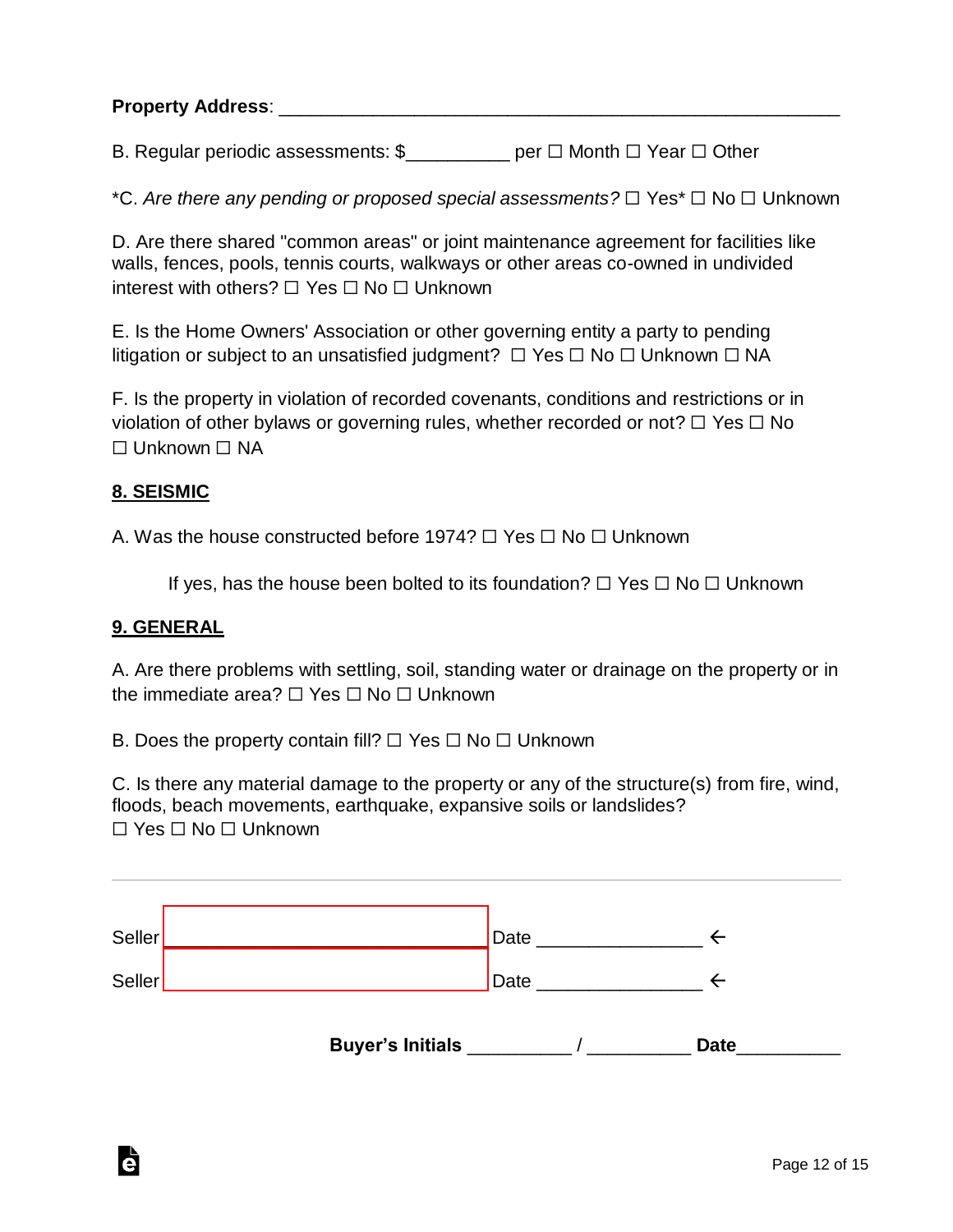B. Regular periodic assessments: \$\_\_\_\_\_\_\_\_\_\_ per □ Month □ Year □ Other

\*C. *Are there any pending or proposed special assessments?* ☐ Yes\* ☐ No ☐ Unknown

D. Are there shared "common areas" or joint maintenance agreement for facilities like walls, fences, pools, tennis courts, walkways or other areas co-owned in undivided interest with others? ☐ Yes ☐ No ☐ Unknown

E. Is the Home Owners' Association or other governing entity a party to pending litigation or subject to an unsatisfied judgment? ☐ Yes ☐ No ☐ Unknown ☐ NA

F. Is the property in violation of recorded covenants, conditions and restrictions or in violation of other bylaws or governing rules, whether recorded or not?  $\Box$  Yes  $\Box$  No ☐ Unknown ☐ NA

#### **8. SEISMIC**

A. Was the house constructed before 1974? □ Yes □ No □ Unknown

If yes, has the house been bolted to its foundation?  $\Box$  Yes  $\Box$  No  $\Box$  Unknown

#### **9. GENERAL**

A. Are there problems with settling, soil, standing water or drainage on the property or in the immediate area? □ Yes □ No □ Unknown

B. Does the property contain fill?  $\Box$  Yes  $\Box$  No  $\Box$  Unknown

C. Is there any material damage to the property or any of the structure(s) from fire, wind, floods, beach movements, earthquake, expansive soils or landslides? ☐ Yes ☐ No ☐ Unknown

| Seller<br>Seller |                         | Date |             |
|------------------|-------------------------|------|-------------|
|                  | <b>Buyer's Initials</b> | Date | <b>Date</b> |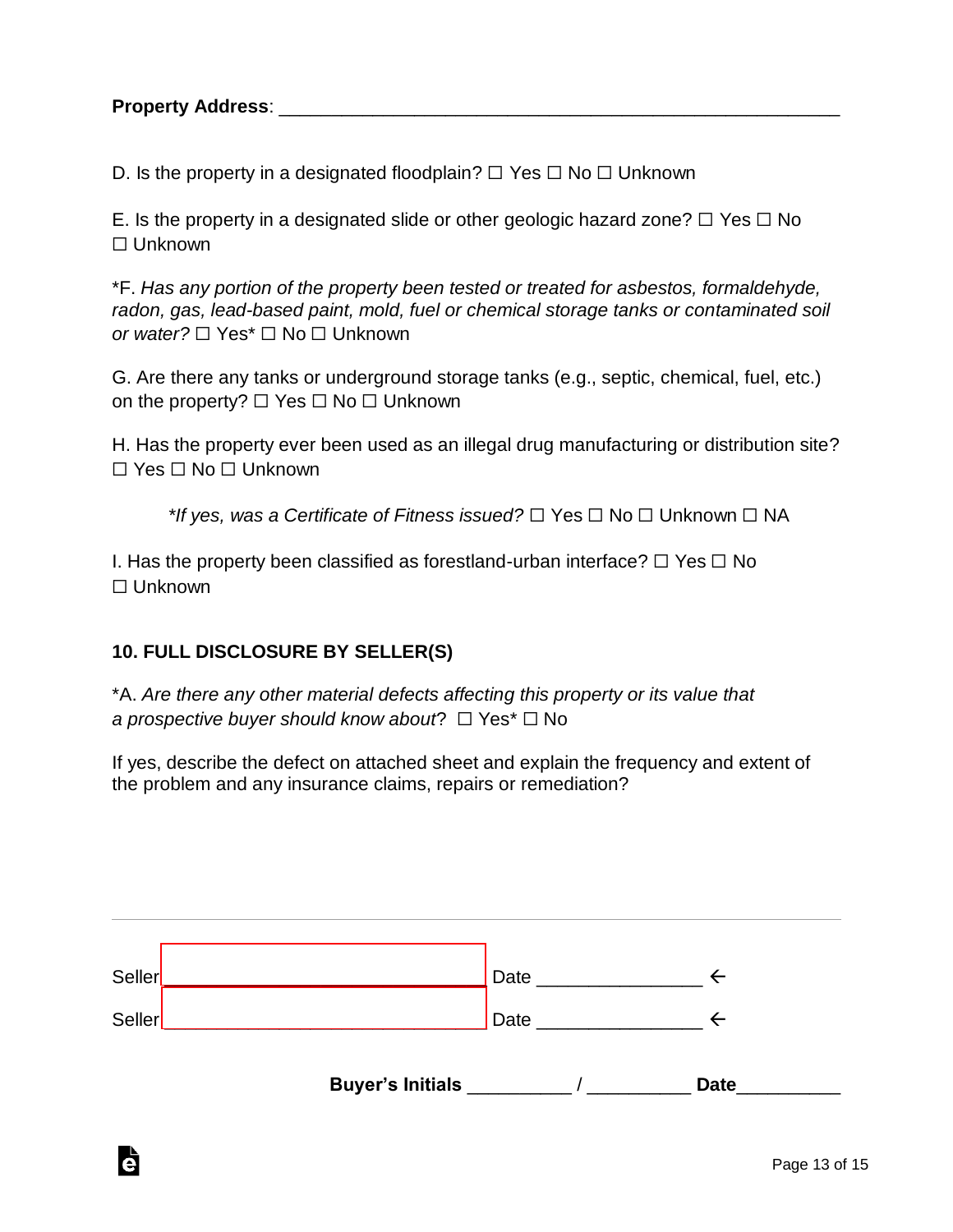D. Is the property in a designated floodplain?  $\Box$  Yes  $\Box$  No  $\Box$  Unknown

E. Is the property in a designated slide or other geologic hazard zone?  $\Box$  Yes  $\Box$  No ☐ Unknown

\*F. *Has any portion of the property been tested or treated for asbestos, formaldehyde, radon, gas, lead-based paint, mold, fuel or chemical storage tanks or contaminated soil or water?* □ Yes<sup>\*</sup> □ No □ Unknown

G. Are there any tanks or underground storage tanks (e.g., septic, chemical, fuel, etc.) on the property? ☐ Yes ☐ No ☐ Unknown

H. Has the property ever been used as an illegal drug manufacturing or distribution site? ☐ Yes ☐ No ☐ Unknown

*\*If yes, was a Certificate of Fitness issued?* ☐ Yes ☐ No ☐ Unknown ☐ NA

I. Has the property been classified as forestland-urban interface?  $\Box$  Yes  $\Box$  No ☐ Unknown

#### **10. FULL DISCLOSURE BY SELLER(S)**

Ġ

\*A. *Are there any other material defects affecting this property or its value that a prospective buyer should know about*? ☐ Yes\* ☐ No

If yes, describe the defect on attached sheet and explain the frequency and extent of the problem and any insurance claims, repairs or remediation?

| Seller |                          | Date |                                                                                                                 |             |
|--------|--------------------------|------|-----------------------------------------------------------------------------------------------------------------|-------------|
| Seller |                          |      | Date and the state of the state of the state of the state of the state of the state of the state of the state o |             |
|        | Buyer's Initials _______ |      |                                                                                                                 | <b>Date</b> |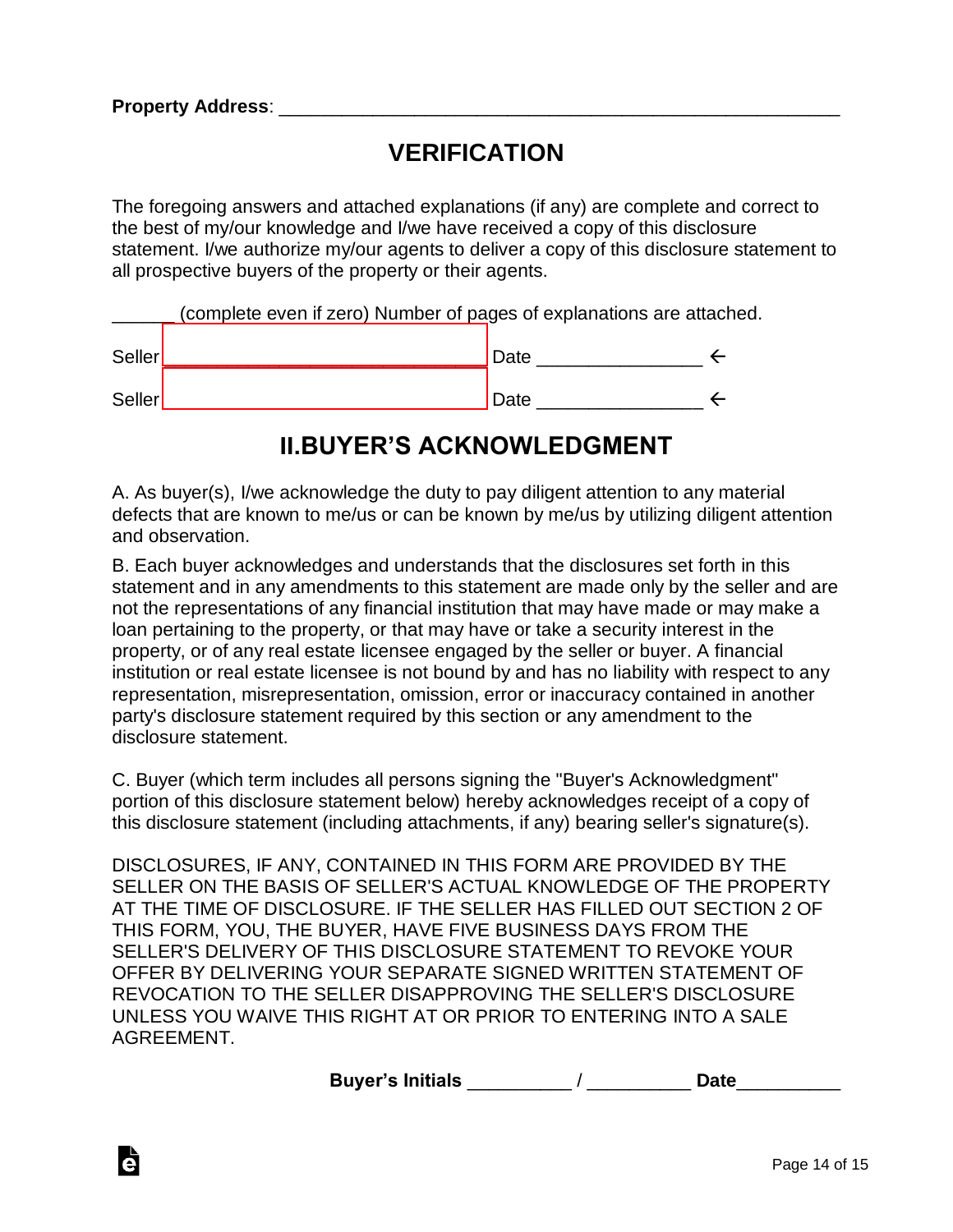à

# **VERIFICATION**

The foregoing answers and attached explanations (if any) are complete and correct to the best of my/our knowledge and I/we have received a copy of this disclosure statement. I/we authorize my/our agents to deliver a copy of this disclosure statement to all prospective buyers of the property or their agents.

\_\_\_\_\_\_ (complete even if zero) Number of pages of explanations are attached.

| Seller | Date |  |  |
|--------|------|--|--|
|        |      |  |  |
| Seller | Date |  |  |

## **II.BUYER'S ACKNOWLEDGMENT**

A. As buyer(s), I/we acknowledge the duty to pay diligent attention to any material defects that are known to me/us or can be known by me/us by utilizing diligent attention and observation.

B. Each buyer acknowledges and understands that the disclosures set forth in this statement and in any amendments to this statement are made only by the seller and are not the representations of any financial institution that may have made or may make a loan pertaining to the property, or that may have or take a security interest in the property, or of any real estate licensee engaged by the seller or buyer. A financial institution or real estate licensee is not bound by and has no liability with respect to any representation, misrepresentation, omission, error or inaccuracy contained in another party's disclosure statement required by this section or any amendment to the disclosure statement.

C. Buyer (which term includes all persons signing the "Buyer's Acknowledgment" portion of this disclosure statement below) hereby acknowledges receipt of a copy of this disclosure statement (including attachments, if any) bearing seller's signature(s).

DISCLOSURES, IF ANY, CONTAINED IN THIS FORM ARE PROVIDED BY THE SELLER ON THE BASIS OF SELLER'S ACTUAL KNOWLEDGE OF THE PROPERTY AT THE TIME OF DISCLOSURE. IF THE SELLER HAS FILLED OUT SECTION 2 OF THIS FORM, YOU, THE BUYER, HAVE FIVE BUSINESS DAYS FROM THE SELLER'S DELIVERY OF THIS DISCLOSURE STATEMENT TO REVOKE YOUR OFFER BY DELIVERING YOUR SEPARATE SIGNED WRITTEN STATEMENT OF REVOCATION TO THE SELLER DISAPPROVING THE SELLER'S DISCLOSURE UNLESS YOU WAIVE THIS RIGHT AT OR PRIOR TO ENTERING INTO A SALE AGREEMENT.